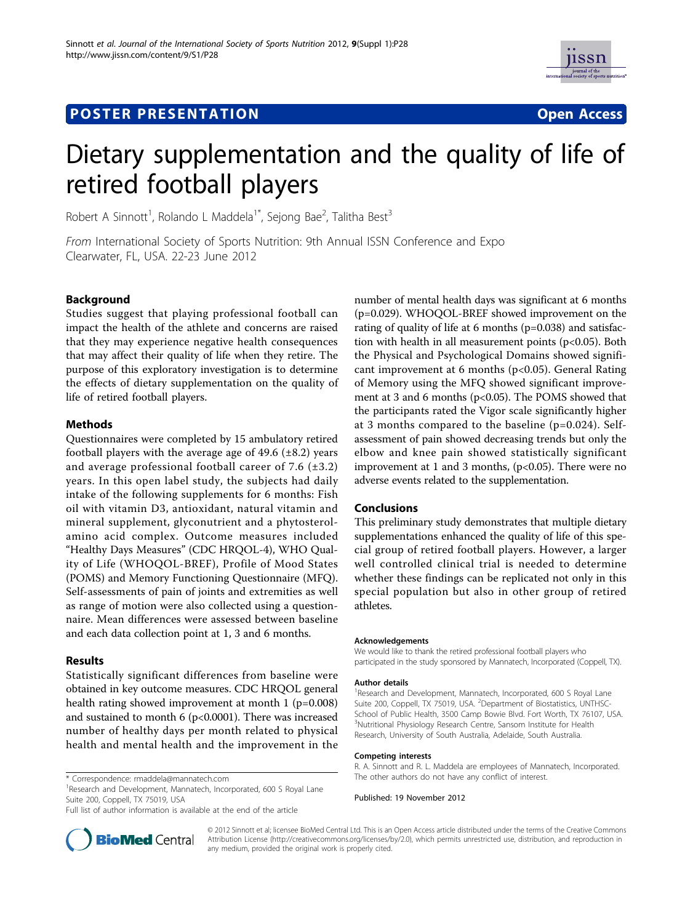# **POSTER PRESENTATION CONSUMING THE SERVICE OPEN ACCESS**



# Dietary supplementation and the quality of life of retired football players

Robert A Sinnott<sup>1</sup>, Rolando L Maddela<sup>1\*</sup>, Sejong Bae<sup>2</sup>, Talitha Best<sup>3</sup>

From International Society of Sports Nutrition: 9th Annual ISSN Conference and Expo Clearwater, FL, USA. 22-23 June 2012

# **Background**

Studies suggest that playing professional football can impact the health of the athlete and concerns are raised that they may experience negative health consequences that may affect their quality of life when they retire. The purpose of this exploratory investigation is to determine the effects of dietary supplementation on the quality of life of retired football players.

## Methods

Questionnaires were completed by 15 ambulatory retired football players with the average age of  $49.6$  ( $\pm 8.2$ ) years and average professional football career of 7.6  $(\pm 3.2)$ years. In this open label study, the subjects had daily intake of the following supplements for 6 months: Fish oil with vitamin D3, antioxidant, natural vitamin and mineral supplement, glyconutrient and a phytosterolamino acid complex. Outcome measures included "Healthy Days Measures" (CDC HRQOL-4), WHO Quality of Life (WHOQOL-BREF), Profile of Mood States (POMS) and Memory Functioning Questionnaire (MFQ). Self-assessments of pain of joints and extremities as well as range of motion were also collected using a questionnaire. Mean differences were assessed between baseline and each data collection point at 1, 3 and 6 months.

## Results

Statistically significant differences from baseline were obtained in key outcome measures. CDC HRQOL general health rating showed improvement at month 1 (p=0.008) and sustained to month 6 ( $p<0.0001$ ). There was increased number of healthy days per month related to physical health and mental health and the improvement in the

\* Correspondence: [rmaddela@mannatech.com](mailto:rmaddela@mannatech.com)

<sup>1</sup> Research and Development, Mannatech, Incorporated, 600 S Royal Lane Suite 200, Coppell, TX 75019, USA

Full list of author information is available at the end of the article



number of mental health days was significant at 6 months (p=0.029). WHOQOL-BREF showed improvement on the rating of quality of life at 6 months (p=0.038) and satisfaction with health in all measurement points (p<0.05). Both the Physical and Psychological Domains showed significant improvement at 6 months (p<0.05). General Rating of Memory using the MFQ showed significant improvement at 3 and 6 months (p<0.05). The POMS showed that the participants rated the Vigor scale significantly higher at 3 months compared to the baseline (p=0.024). Selfassessment of pain showed decreasing trends but only the elbow and knee pain showed statistically significant improvement at 1 and 3 months,  $(p<0.05)$ . There were no adverse events related to the supplementation.

#### Conclusions

This preliminary study demonstrates that multiple dietary supplementations enhanced the quality of life of this special group of retired football players. However, a larger well controlled clinical trial is needed to determine whether these findings can be replicated not only in this special population but also in other group of retired athletes.

#### Acknowledgements

We would like to thank the retired professional football players who participated in the study sponsored by Mannatech, Incorporated (Coppell, TX).

#### Author details

<sup>1</sup> Research and Development, Mannatech, Incorporated, 600 S Royal Lane Suite 200, Coppell, TX 75019, USA. <sup>2</sup>Department of Biostatistics, UNTHSC-School of Public Health, 3500 Camp Bowie Blvd. Fort Worth, TX 76107, USA. <sup>3</sup>Nutritional Physiology Research Centre, Sansom Institute for Health Research, University of South Australia, Adelaide, South Australia.

#### Competing interests

R. A. Sinnott and R. L. Maddela are employees of Mannatech, Incorporated. The other authors do not have any conflict of interest.

Published: 19 November 2012

© 2012 Sinnott et al; licensee BioMed Central Ltd. This is an Open Access article distributed under the terms of the Creative Commons Attribution License [\(http://creativecommons.org/licenses/by/2.0](http://creativecommons.org/licenses/by/2.0)), which permits unrestricted use, distribution, and reproduction in any medium, provided the original work is properly cited.